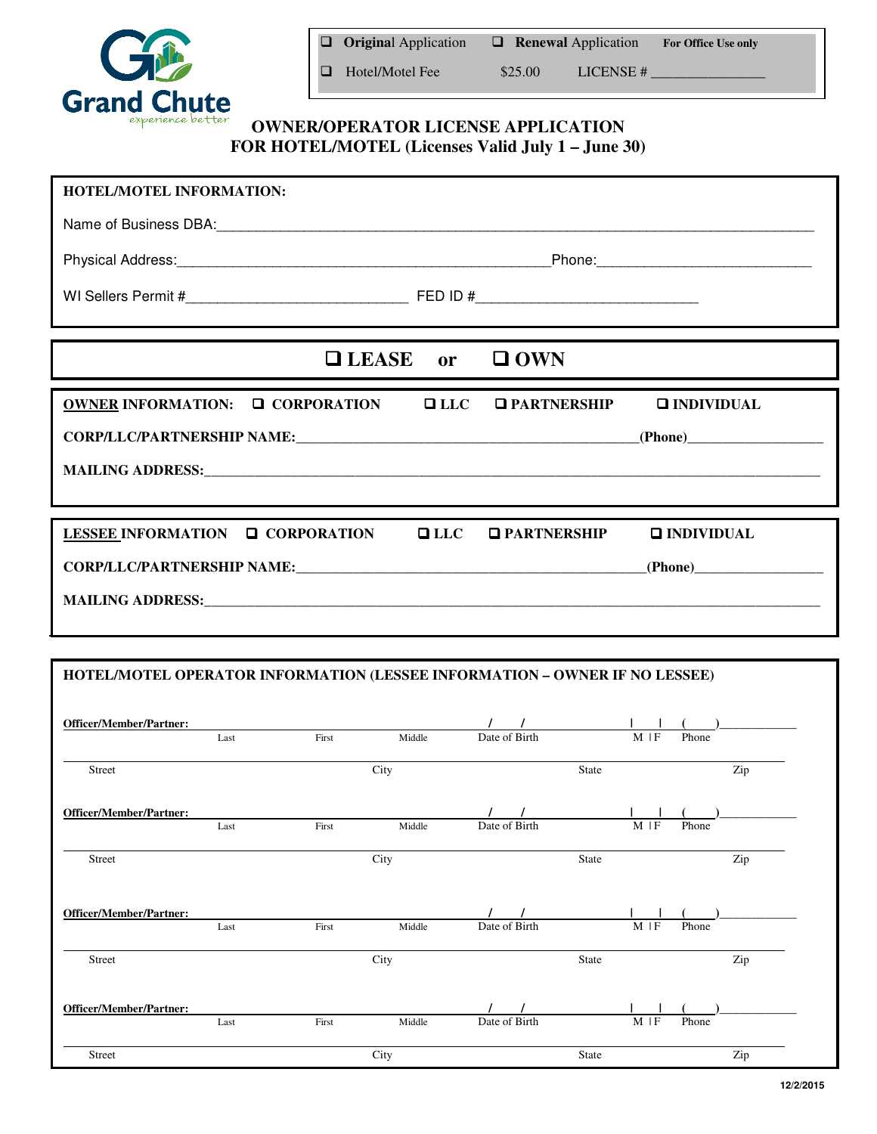

|                                                   |  | $\Box$ Original Application | $\Box$ Renewal Application |         |           | <b>For Office Use only</b> |  |  |
|---------------------------------------------------|--|-----------------------------|----------------------------|---------|-----------|----------------------------|--|--|
|                                                   |  | Hotel/Motel Fee             |                            | \$25.00 | LICENSE # |                            |  |  |
| <b>OWNER/OPERATOR LICENSE APPLICATION</b>         |  |                             |                            |         |           |                            |  |  |
| FOR HOTEL/MOTEL (Licenses Valid July 1 – June 30) |  |                             |                            |         |           |                            |  |  |

| HOTEL/MOTEL INFORMATION:                                                                                                                                                                                                       |  |                               |                     |  |  |  |  |
|--------------------------------------------------------------------------------------------------------------------------------------------------------------------------------------------------------------------------------|--|-------------------------------|---------------------|--|--|--|--|
| Name of Business DBA: Management of Business DBA:                                                                                                                                                                              |  |                               |                     |  |  |  |  |
| Physical Address: 1988 Communication of Phone: Phone: Phone: 2008 Physical Address: 2008 Physical Address:                                                                                                                     |  |                               |                     |  |  |  |  |
|                                                                                                                                                                                                                                |  |                               |                     |  |  |  |  |
|                                                                                                                                                                                                                                |  |                               |                     |  |  |  |  |
|                                                                                                                                                                                                                                |  | $\Box$ LEASE or $\Box$ OWN    |                     |  |  |  |  |
| OWNER INFORMATION: □ CORPORATION □ LLC □ PARTNERSHIP                                                                                                                                                                           |  |                               | <b>Q INDIVIDUAL</b> |  |  |  |  |
|                                                                                                                                                                                                                                |  |                               |                     |  |  |  |  |
| MAILING ADDRESS: Universe of the contract of the contract of the contract of the contract of the contract of the contract of the contract of the contract of the contract of the contract of the contract of the contract of t |  |                               |                     |  |  |  |  |
|                                                                                                                                                                                                                                |  |                               |                     |  |  |  |  |
| LESSEE INFORMATION $\Box$ CORPORATION                                                                                                                                                                                          |  | $\Box$ LLC $\Box$ PARTNERSHIP | $\Box$ INDIVIDUAL   |  |  |  |  |
|                                                                                                                                                                                                                                |  |                               |                     |  |  |  |  |
|                                                                                                                                                                                                                                |  |                               |                     |  |  |  |  |
|                                                                                                                                                                                                                                |  |                               |                     |  |  |  |  |

## **HOTEL/MOTEL OPERATOR INFORMATION (LESSEE INFORMATION – OWNER IF NO LESSEE)**

| <b>Officer/Member/Partner:</b> |      |       |        |               |       |            |       |     |
|--------------------------------|------|-------|--------|---------------|-------|------------|-------|-----|
|                                | Last | First | Middle | Date of Birth |       | $M \mid F$ | Phone |     |
| Street                         |      |       | City   |               | State |            |       | Zip |
| <b>Officer/Member/Partner:</b> |      |       |        |               |       |            |       |     |
|                                | Last | First | Middle | Date of Birth |       | $M \mid F$ | Phone |     |
| Street                         |      |       | City   |               | State |            |       | Zip |
| <b>Officer/Member/Partner:</b> |      |       |        |               |       |            |       |     |
|                                | Last | First | Middle | Date of Birth |       | $M \mid F$ | Phone |     |
| Street                         |      |       | City   |               | State |            |       | Zip |
| <b>Officer/Member/Partner:</b> |      |       |        |               |       |            |       |     |
|                                | Last | First | Middle | Date of Birth |       | $M$   $F$  | Phone |     |
| Street                         |      |       | City   |               | State |            |       | Zip |